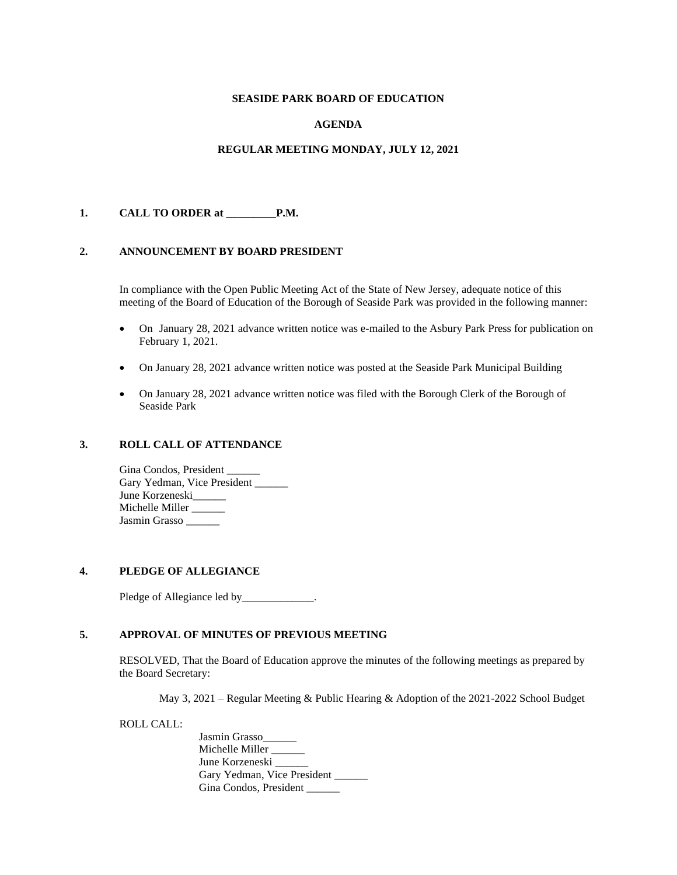## **SEASIDE PARK BOARD OF EDUCATION**

## **AGENDA**

## **REGULAR MEETING MONDAY, JULY 12, 2021**

## **1. CALL TO ORDER at \_\_\_\_\_\_\_\_\_P.M.**

#### **2. ANNOUNCEMENT BY BOARD PRESIDENT**

In compliance with the Open Public Meeting Act of the State of New Jersey, adequate notice of this meeting of the Board of Education of the Borough of Seaside Park was provided in the following manner:

- On January 28, 2021 advance written notice was e-mailed to the Asbury Park Press for publication on February 1, 2021.
- On January 28, 2021 advance written notice was posted at the Seaside Park Municipal Building
- On January 28, 2021 advance written notice was filed with the Borough Clerk of the Borough of Seaside Park

## **3. ROLL CALL OF ATTENDANCE**

Gina Condos, President Gary Yedman, Vice President \_\_\_\_\_\_ June Korzeneski\_\_\_\_\_\_ Michelle Miller \_\_\_\_\_ Jasmin Grasso \_\_\_\_\_\_

## **4. PLEDGE OF ALLEGIANCE**

Pledge of Allegiance led by\_\_\_\_\_\_\_\_\_\_\_\_\_.

## **5. APPROVAL OF MINUTES OF PREVIOUS MEETING**

RESOLVED, That the Board of Education approve the minutes of the following meetings as prepared by the Board Secretary:

May 3, 2021 – Regular Meeting & Public Hearing & Adoption of the 2021-2022 School Budget

ROLL CALL:

Jasmin Grasso Michelle Miller \_\_\_\_\_\_ June Korzeneski Gary Yedman, Vice President Gina Condos, President \_\_\_\_\_\_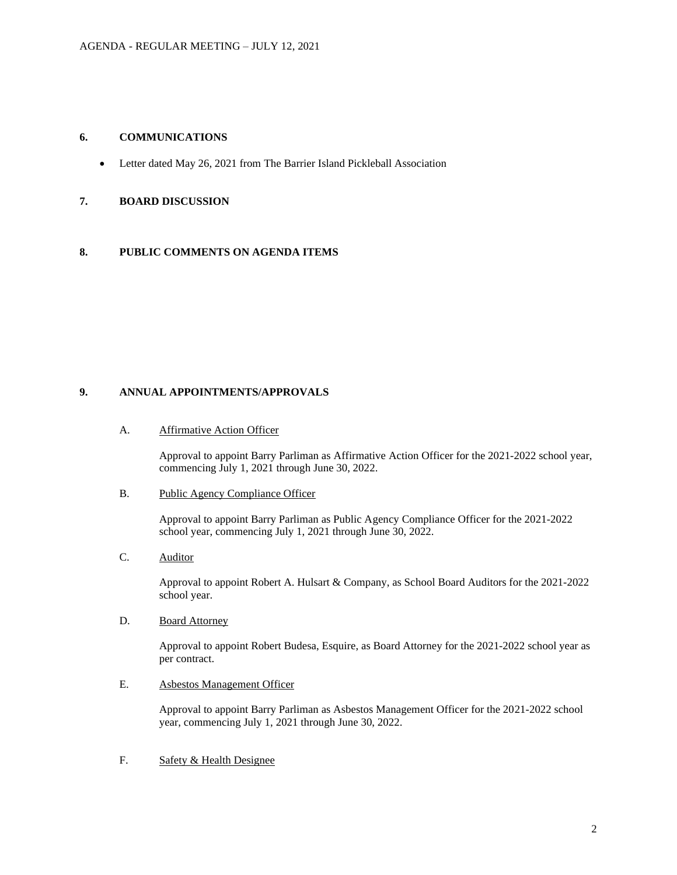## **6. COMMUNICATIONS**

• Letter dated May 26, 2021 from The Barrier Island Pickleball Association

## **7. BOARD DISCUSSION**

## **8. PUBLIC COMMENTS ON AGENDA ITEMS**

# **9. ANNUAL APPOINTMENTS/APPROVALS**

#### A. Affirmative Action Officer

Approval to appoint Barry Parliman as Affirmative Action Officer for the 2021-2022 school year, commencing July 1, 2021 through June 30, 2022.

#### B. Public Agency Compliance Officer

Approval to appoint Barry Parliman as Public Agency Compliance Officer for the 2021-2022 school year, commencing July 1, 2021 through June 30, 2022.

## C. Auditor

Approval to appoint Robert A. Hulsart & Company, as School Board Auditors for the 2021-2022 school year.

# D. Board Attorney

Approval to appoint Robert Budesa, Esquire, as Board Attorney for the 2021-2022 school year as per contract.

# E. Asbestos Management Officer

Approval to appoint Barry Parliman as Asbestos Management Officer for the 2021-2022 school year, commencing July 1, 2021 through June 30, 2022.

# F. Safety & Health Designee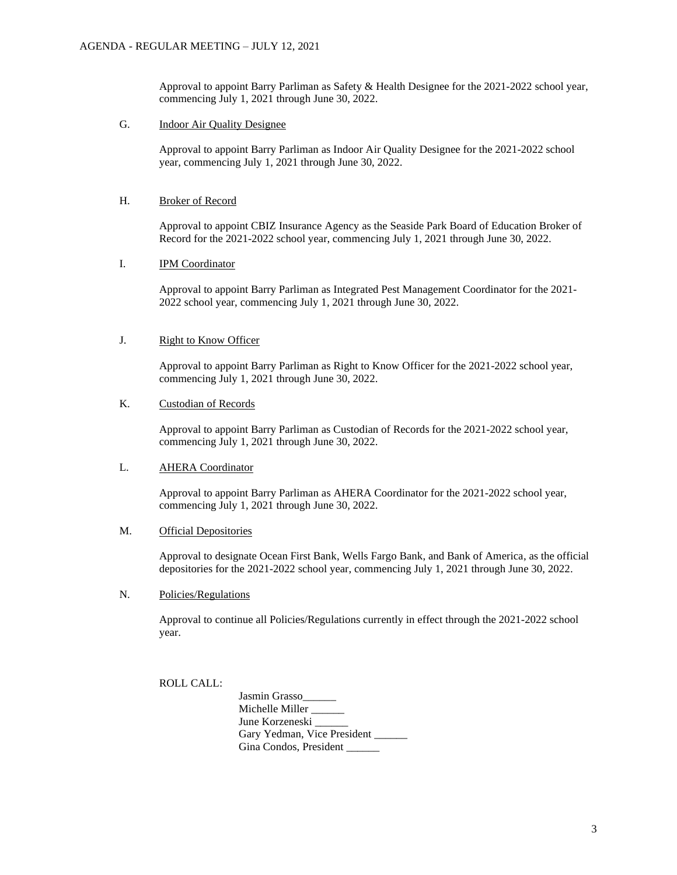Approval to appoint Barry Parliman as Safety & Health Designee for the 2021-2022 school year, commencing July 1, 2021 through June 30, 2022.

## G. Indoor Air Quality Designee

Approval to appoint Barry Parliman as Indoor Air Quality Designee for the 2021-2022 school year, commencing July 1, 2021 through June 30, 2022.

## H. Broker of Record

Approval to appoint CBIZ Insurance Agency as the Seaside Park Board of Education Broker of Record for the 2021-2022 school year, commencing July 1, 2021 through June 30, 2022.

# I. IPM Coordinator

Approval to appoint Barry Parliman as Integrated Pest Management Coordinator for the 2021- 2022 school year, commencing July 1, 2021 through June 30, 2022.

# J. Right to Know Officer

Approval to appoint Barry Parliman as Right to Know Officer for the 2021-2022 school year, commencing July 1, 2021 through June 30, 2022.

## K. Custodian of Records

Approval to appoint Barry Parliman as Custodian of Records for the 2021-2022 school year, commencing July 1, 2021 through June 30, 2022.

#### L. AHERA Coordinator

Approval to appoint Barry Parliman as AHERA Coordinator for the 2021-2022 school year, commencing July 1, 2021 through June 30, 2022.

#### M. Official Depositories

Approval to designate Ocean First Bank, Wells Fargo Bank, and Bank of America, as the official depositories for the 2021-2022 school year, commencing July 1, 2021 through June 30, 2022.

## N. Policies/Regulations

Approval to continue all Policies/Regulations currently in effect through the 2021-2022 school year.

ROLL CALL:

Jasmin Grasso\_\_\_\_\_\_ Michelle Miller \_\_\_\_\_ June Korzeneski Gary Yedman, Vice President Gina Condos, President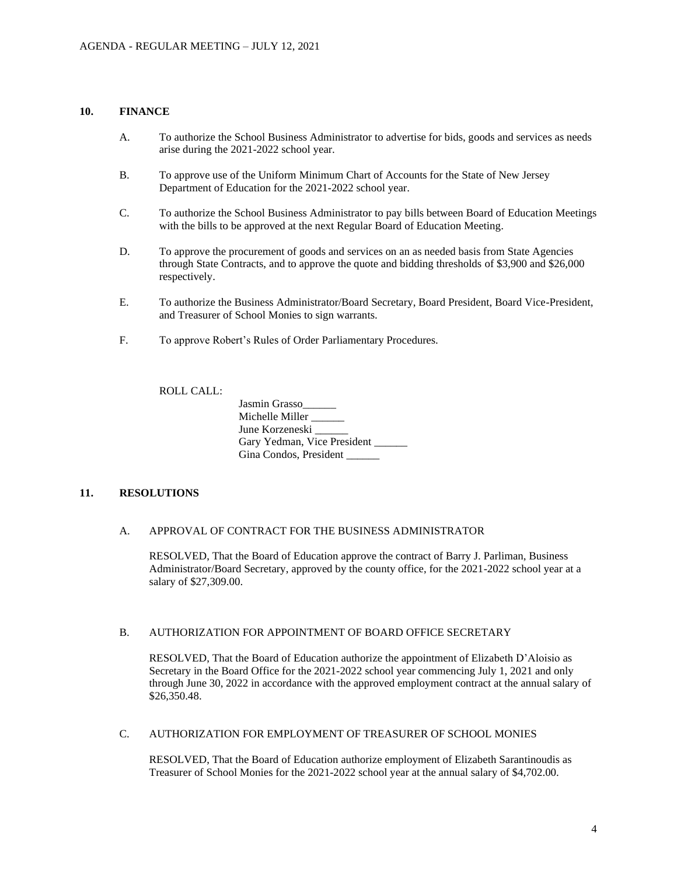## **10. FINANCE**

- A. To authorize the School Business Administrator to advertise for bids, goods and services as needs arise during the 2021-2022 school year.
- B. To approve use of the Uniform Minimum Chart of Accounts for the State of New Jersey Department of Education for the 2021-2022 school year.
- C. To authorize the School Business Administrator to pay bills between Board of Education Meetings with the bills to be approved at the next Regular Board of Education Meeting.
- D. To approve the procurement of goods and services on an as needed basis from State Agencies through State Contracts, and to approve the quote and bidding thresholds of \$3,900 and \$26,000 respectively.
- E. To authorize the Business Administrator/Board Secretary, Board President, Board Vice-President, and Treasurer of School Monies to sign warrants.
- F. To approve Robert's Rules of Order Parliamentary Procedures.

ROLL CALL:

| Jasmin Grasso               |
|-----------------------------|
| Michelle Miller             |
| June Korzeneski             |
| Gary Yedman, Vice President |
| Gina Condos, President      |

## **11. RESOLUTIONS**

#### A. APPROVAL OF CONTRACT FOR THE BUSINESS ADMINISTRATOR

RESOLVED, That the Board of Education approve the contract of Barry J. Parliman, Business Administrator/Board Secretary, approved by the county office, for the 2021-2022 school year at a salary of \$27,309.00.

## B. AUTHORIZATION FOR APPOINTMENT OF BOARD OFFICE SECRETARY

RESOLVED, That the Board of Education authorize the appointment of Elizabeth D'Aloisio as Secretary in the Board Office for the 2021-2022 school year commencing July 1, 2021 and only through June 30, 2022 in accordance with the approved employment contract at the annual salary of \$26,350.48.

## C. AUTHORIZATION FOR EMPLOYMENT OF TREASURER OF SCHOOL MONIES

RESOLVED, That the Board of Education authorize employment of Elizabeth Sarantinoudis as Treasurer of School Monies for the 2021-2022 school year at the annual salary of \$4,702.00.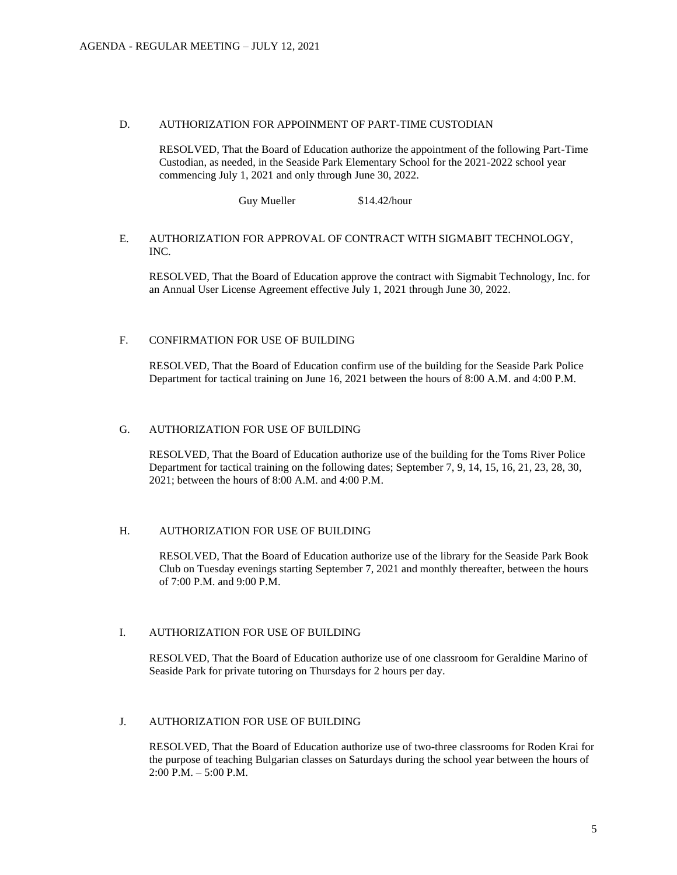#### D. AUTHORIZATION FOR APPOINMENT OF PART-TIME CUSTODIAN

RESOLVED, That the Board of Education authorize the appointment of the following Part-Time Custodian, as needed, in the Seaside Park Elementary School for the 2021-2022 school year commencing July 1, 2021 and only through June 30, 2022.

Guy Mueller \$14.42/hour

## E. AUTHORIZATION FOR APPROVAL OF CONTRACT WITH SIGMABIT TECHNOLOGY, INC.

RESOLVED, That the Board of Education approve the contract with Sigmabit Technology, Inc. for an Annual User License Agreement effective July 1, 2021 through June 30, 2022.

## F. CONFIRMATION FOR USE OF BUILDING

RESOLVED, That the Board of Education confirm use of the building for the Seaside Park Police Department for tactical training on June 16, 2021 between the hours of 8:00 A.M. and 4:00 P.M.

## G. AUTHORIZATION FOR USE OF BUILDING

RESOLVED, That the Board of Education authorize use of the building for the Toms River Police Department for tactical training on the following dates; September 7, 9, 14, 15, 16, 21, 23, 28, 30, 2021; between the hours of 8:00 A.M. and 4:00 P.M.

## H. AUTHORIZATION FOR USE OF BUILDING

RESOLVED, That the Board of Education authorize use of the library for the Seaside Park Book Club on Tuesday evenings starting September 7, 2021 and monthly thereafter, between the hours of 7:00 P.M. and 9:00 P.M.

## I. AUTHORIZATION FOR USE OF BUILDING

RESOLVED, That the Board of Education authorize use of one classroom for Geraldine Marino of Seaside Park for private tutoring on Thursdays for 2 hours per day.

## J. AUTHORIZATION FOR USE OF BUILDING

RESOLVED, That the Board of Education authorize use of two-three classrooms for Roden Krai for the purpose of teaching Bulgarian classes on Saturdays during the school year between the hours of  $2:00 \text{ P.M.} - 5:00 \text{ P.M.}$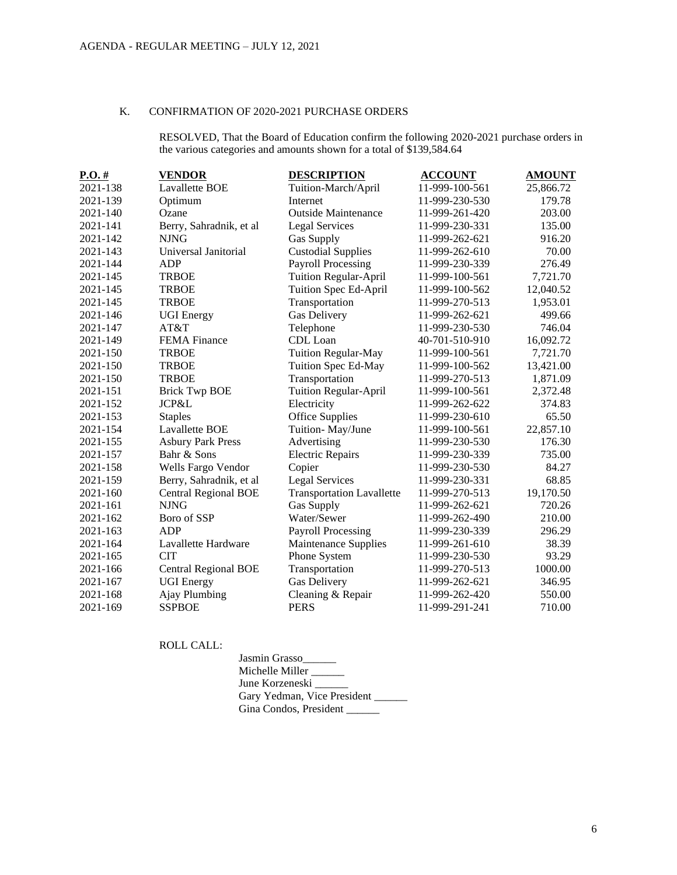## K. CONFIRMATION OF 2020-2021 PURCHASE ORDERS

RESOLVED, That the Board of Education confirm the following 2020-2021 purchase orders in the various categories and amounts shown for a total of \$139,584.64

| $P.O.$ # | <b>VENDOR</b>               | <b>DESCRIPTION</b>               | <b>ACCOUNT</b> | <b>AMOUNT</b> |
|----------|-----------------------------|----------------------------------|----------------|---------------|
| 2021-138 | Lavallette BOE              | Tuition-March/April              | 11-999-100-561 | 25,866.72     |
| 2021-139 | Optimum                     | Internet                         | 11-999-230-530 | 179.78        |
| 2021-140 | Ozane                       | <b>Outside Maintenance</b>       | 11-999-261-420 | 203.00        |
| 2021-141 | Berry, Sahradnik, et al     | <b>Legal Services</b>            | 11-999-230-331 | 135.00        |
| 2021-142 | <b>NJNG</b>                 | <b>Gas Supply</b>                | 11-999-262-621 | 916.20        |
| 2021-143 | Universal Janitorial        | <b>Custodial Supplies</b>        | 11-999-262-610 | 70.00         |
| 2021-144 | <b>ADP</b>                  | <b>Payroll Processing</b>        | 11-999-230-339 | 276.49        |
| 2021-145 | <b>TRBOE</b>                | <b>Tuition Regular-April</b>     | 11-999-100-561 | 7,721.70      |
| 2021-145 | <b>TRBOE</b>                | Tuition Spec Ed-April            | 11-999-100-562 | 12,040.52     |
| 2021-145 | <b>TRBOE</b>                | Transportation                   | 11-999-270-513 | 1,953.01      |
| 2021-146 | <b>UGI</b> Energy           | Gas Delivery                     | 11-999-262-621 | 499.66        |
| 2021-147 | AT&T                        | Telephone                        | 11-999-230-530 | 746.04        |
| 2021-149 | <b>FEMA</b> Finance         | CDL Loan                         | 40-701-510-910 | 16,092.72     |
| 2021-150 | <b>TRBOE</b>                | <b>Tuition Regular-May</b>       | 11-999-100-561 | 7,721.70      |
| 2021-150 | <b>TRBOE</b>                | Tuition Spec Ed-May              | 11-999-100-562 | 13,421.00     |
| 2021-150 | <b>TRBOE</b>                | Transportation                   | 11-999-270-513 | 1,871.09      |
| 2021-151 | <b>Brick Twp BOE</b>        | <b>Tuition Regular-April</b>     | 11-999-100-561 | 2,372.48      |
| 2021-152 | JCP&L                       | Electricity                      | 11-999-262-622 | 374.83        |
| 2021-153 | <b>Staples</b>              | Office Supplies                  | 11-999-230-610 | 65.50         |
| 2021-154 | Lavallette BOE              | Tuition-May/June                 | 11-999-100-561 | 22,857.10     |
| 2021-155 | <b>Asbury Park Press</b>    | Advertising                      | 11-999-230-530 | 176.30        |
| 2021-157 | Bahr & Sons                 | <b>Electric Repairs</b>          | 11-999-230-339 | 735.00        |
| 2021-158 | Wells Fargo Vendor          | Copier                           | 11-999-230-530 | 84.27         |
| 2021-159 | Berry, Sahradnik, et al     | <b>Legal Services</b>            | 11-999-230-331 | 68.85         |
| 2021-160 | <b>Central Regional BOE</b> | <b>Transportation Lavallette</b> | 11-999-270-513 | 19,170.50     |
| 2021-161 | <b>NJNG</b>                 | <b>Gas Supply</b>                | 11-999-262-621 | 720.26        |
| 2021-162 | Boro of SSP                 | Water/Sewer                      | 11-999-262-490 | 210.00        |
| 2021-163 | <b>ADP</b>                  | <b>Payroll Processing</b>        | 11-999-230-339 | 296.29        |
| 2021-164 | Lavallette Hardware         | Maintenance Supplies             | 11-999-261-610 | 38.39         |
| 2021-165 | <b>CIT</b>                  | Phone System                     | 11-999-230-530 | 93.29         |
| 2021-166 | <b>Central Regional BOE</b> | Transportation                   | 11-999-270-513 | 1000.00       |
| 2021-167 | <b>UGI Energy</b>           | Gas Delivery                     | 11-999-262-621 | 346.95        |
| 2021-168 | Ajay Plumbing               | Cleaning & Repair                | 11-999-262-420 | 550.00        |
| 2021-169 | <b>SSPBOE</b>               | <b>PERS</b>                      | 11-999-291-241 | 710.00        |

ROLL CALL:

| Jasmin Grasso               |  |
|-----------------------------|--|
| Michelle Miller             |  |
| June Korzeneski             |  |
| Gary Yedman, Vice President |  |
| Gina Condos, President      |  |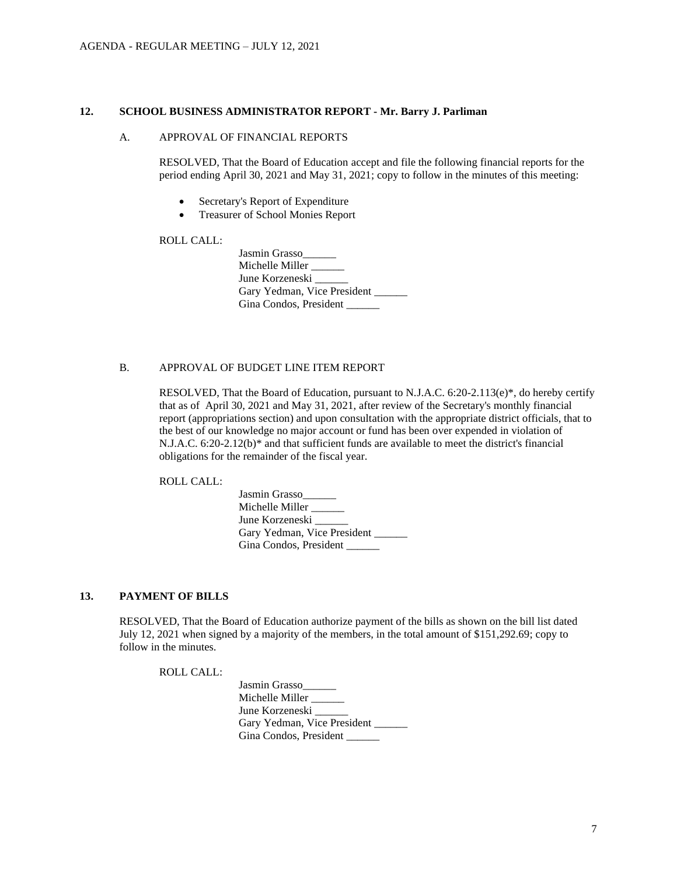#### **12. SCHOOL BUSINESS ADMINISTRATOR REPORT - Mr. Barry J. Parliman**

#### A. APPROVAL OF FINANCIAL REPORTS

RESOLVED, That the Board of Education accept and file the following financial reports for the period ending April 30, 2021 and May 31, 2021; copy to follow in the minutes of this meeting:

- Secretary's Report of Expenditure
- Treasurer of School Monies Report

## ROLL CALL:

| Jasmin Grasso               |  |
|-----------------------------|--|
| Michelle Miller __          |  |
| June Korzeneski             |  |
| Gary Yedman, Vice President |  |
| Gina Condos, President      |  |

## B. APPROVAL OF BUDGET LINE ITEM REPORT

RESOLVED, That the Board of Education, pursuant to N.J.A.C. 6:20-2.113(e)\*, do hereby certify that as of April 30, 2021 and May 31, 2021, after review of the Secretary's monthly financial report (appropriations section) and upon consultation with the appropriate district officials, that to the best of our knowledge no major account or fund has been over expended in violation of N.J.A.C. 6:20-2.12(b)\* and that sufficient funds are available to meet the district's financial obligations for the remainder of the fiscal year.

ROLL CALL:

| Jasmin Grasso               |
|-----------------------------|
| Michelle Miller             |
| June Korzeneski             |
| Gary Yedman, Vice President |
| Gina Condos, President      |

## **13. PAYMENT OF BILLS**

RESOLVED, That the Board of Education authorize payment of the bills as shown on the bill list dated July 12, 2021 when signed by a majority of the members, in the total amount of \$151,292.69; copy to follow in the minutes.

ROLL CALL:

| Jasmin Grasso               |  |
|-----------------------------|--|
| Michelle Miller             |  |
| June Korzeneski             |  |
| Gary Yedman, Vice President |  |
| Gina Condos, President      |  |